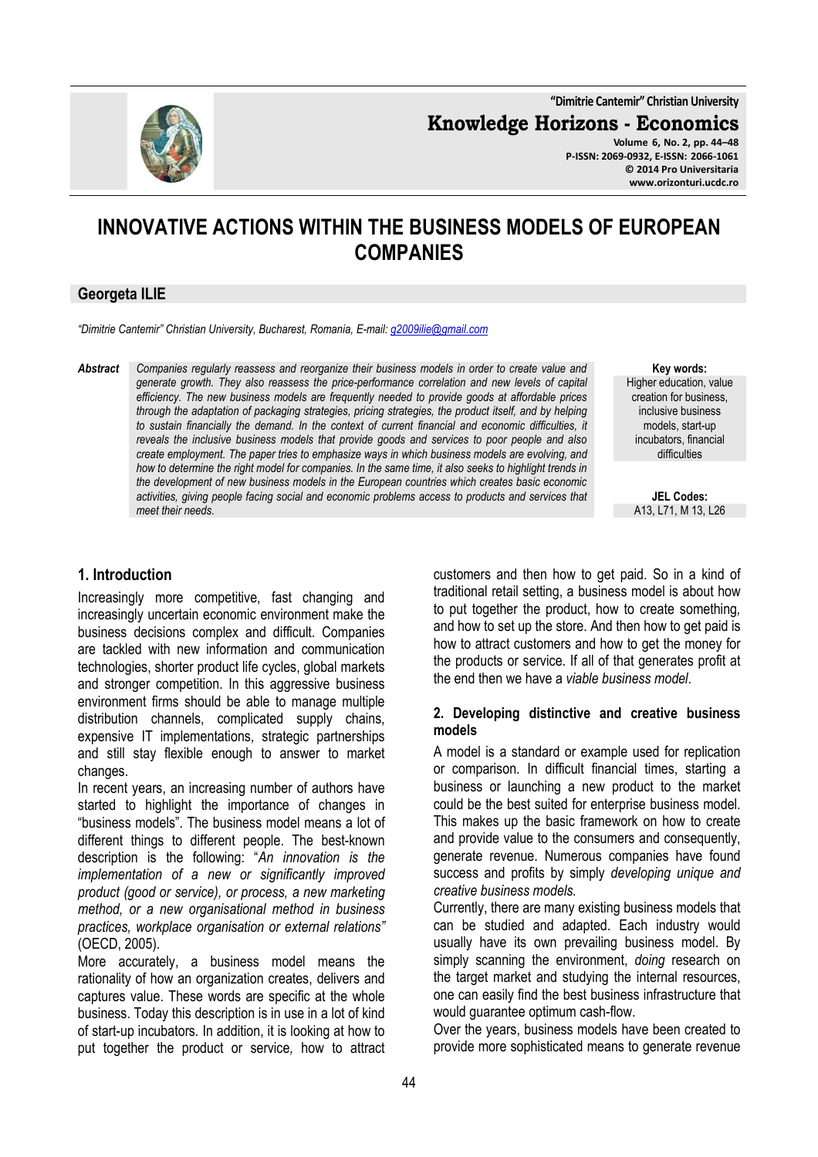**"Dimitrie Cantemir" Christian University**

**Knowledge Horizons - Economics**

**Volume 6, No. 2, pp. 44–48 P-ISSN: 2069-0932, E-ISSN: 2066-1061 © 2014 Pro Universitaria www.orizonturi.ucdc.ro**

# **INNOVATIVE ACTIONS WITHIN THE BUSINESS MODELS OF EUROPEAN COMPANIES**

#### **Georgeta ILIE**

*"Dimitrie Cantemir" Christian University, Bucharest, Romania, E-mail: g2009ilie@gmail.com*

*Abstract Companies regularly reassess and reorganize their business models in order to create value and generate growth. They also reassess the price-performance correlation and new levels of capital efficiency. The new business models are frequently needed to provide goods at affordable prices through the adaptation of packaging strategies, pricing strategies, the product itself, and by helping to sustain financially the demand. In the context of current financial and economic difficulties, it reveals the inclusive business models that provide goods and services to poor people and also create employment. The paper tries to emphasize ways in which business models are evolving, and how to determine the right model for companies. In the same time, it also seeks to highlight trends in the development of new business models in the European countries which creates basic economic activities, giving people facing social and economic problems access to products and services that meet their needs.* 

**Key words:** Higher education, value creation for business, inclusive business models, start-up incubators, financial difficulties

**JEL Codes:** A13, L71, M 13, L26

#### **1. Introduction**

Increasingly more competitive, fast changing and increasingly uncertain economic environment make the business decisions complex and difficult. Companies are tackled with new information and communication technologies, shorter product life cycles, global markets and stronger competition. In this aggressive business environment firms should be able to manage multiple distribution channels, complicated supply chains, expensive IT implementations, strategic partnerships and still stay flexible enough to answer to market changes.

In recent years, an increasing number of authors have started to highlight the importance of changes in "business models". The business model means a lot of different things to different people. The best-known description is the following: "*An innovation is the implementation of a new or significantly improved product (good or service), or process, a new marketing method, or a new organisational method in business practices, workplace organisation or external relations"*  (OECD, 2005).

More accurately, a business model means the rationality of how an organization creates, delivers and captures value. These words are specific at the whole business. Today this description is in use in a lot of kind of start-up incubators*.* In addition, it is looking at how to put together the product or service*,* how to attract customers and then how to get paid. So in a kind of traditional retail setting, a business model is about how to put together the product, how to create something*,*  and how to set up the store. And then how to get paid is how to attract customers and how to get the money for the products or service. If all of that generates profit at the end then we have a *viable business model*.

#### **2. Developing distinctive and creative business models**

A model is a standard or example used for replication or comparison. In difficult financial times, starting a business or launching a new product to the market could be the best suited for enterprise business model. This makes up the basic framework on how to create and provide value to the consumers and consequently, generate revenue. Numerous companies have found success and profits by simply *developing unique and creative business models.*

Currently, there are many existing business models that can be studied and adapted. Each industry would usually have its own prevailing business model. By simply scanning the environment, *doing* research on the target market and studying the internal resources, one can easily find the best business infrastructure that would guarantee optimum cash-flow.

Over the years, business models have been created to provide more sophisticated means to generate revenue

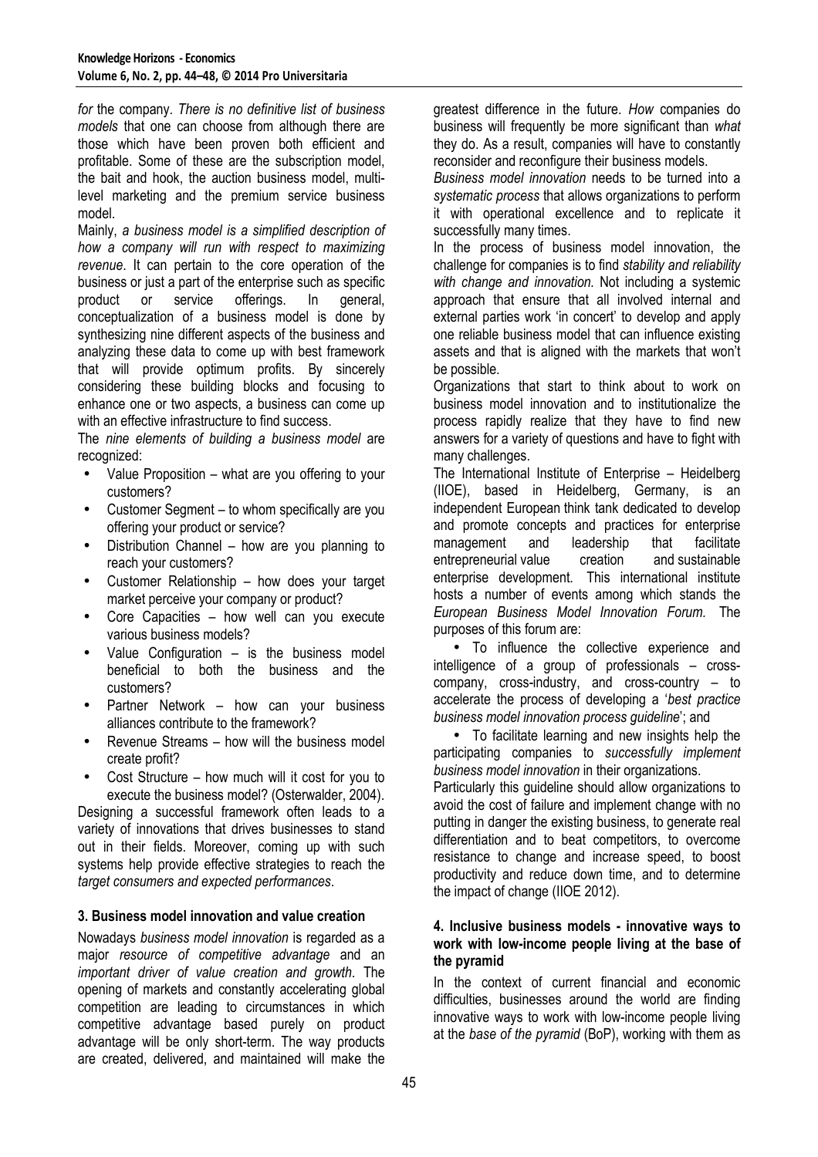*for* the company. *There is no definitive list of business models* that one can choose from although there are those which have been proven both efficient and profitable. Some of these are the subscription model, the bait and hook, the auction business model, multilevel marketing and the premium service business model.

Mainly, *a business model is a simplified description of how a company will run with respect to maximizing revenue*. It can pertain to the core operation of the business or just a part of the enterprise such as specific product or service offerings. In general, conceptualization of a business model is done by synthesizing nine different aspects of the business and analyzing these data to come up with best framework that will provide optimum profits. By sincerely considering these building blocks and focusing to enhance one or two aspects, a business can come up with an effective infrastructure to find success.

The *nine elements of building a business model* are recognized:

- Value Proposition what are you offering to your customers?
- Customer Segment to whom specifically are you offering your product or service?
- Distribution Channel how are you planning to reach your customers?
- Customer Relationship how does your target market perceive your company or product?
- Core Capacities how well can you execute various business models?
- Value Configuration  $-$  is the business model beneficial to both the business and the customers?
- Partner Network how can your business alliances contribute to the framework?
- Revenue Streams how will the business model create profit?
- Cost Structure how much will it cost for you to execute the business model? (Osterwalder, 2004).

Designing a successful framework often leads to a variety of innovations that drives businesses to stand out in their fields. Moreover, coming up with such systems help provide effective strategies to reach the *target consumers and expected performances*.

# **3. Business model innovation and value creation**

Nowadays *business model innovation* is regarded as a major *resource of competitive advantage* and an *important driver of value creation and growth*. The opening of markets and constantly accelerating global competition are leading to circumstances in which competitive advantage based purely on product advantage will be only short-term. The way products are created, delivered, and maintained will make the

greatest difference in the future. *How* companies do business will frequently be more significant than *what* they do. As a result, companies will have to constantly reconsider and reconfigure their business models.

*Business model innovation* needs to be turned into a *systematic process* that allows organizations to perform it with operational excellence and to replicate it successfully many times.

In the process of business model innovation, the challenge for companies is to find *stability and reliability with change and innovation.* Not including a systemic approach that ensure that all involved internal and external parties work 'in concert' to develop and apply one reliable business model that can influence existing assets and that is aligned with the markets that won't be possible.

Organizations that start to think about to work on business model innovation and to institutionalize the process rapidly realize that they have to find new answers for a variety of questions and have to fight with many challenges.

The International Institute of Enterprise – Heidelberg (IIOE), based in Heidelberg, Germany, is an independent European think tank dedicated to develop and promote concepts and practices for enterprise management and leadership that facilitate entrepreneurial value creation and sustainable enterprise development. This international institute hosts a number of events among which stands the *European Business Model Innovation Forum.* The purposes of this forum are:

• To influence the collective experience and intelligence of a group of professionals – crosscompany, cross-industry, and cross-country – to accelerate the process of developing a '*best practice business model innovation process guideline*'; and

• To facilitate learning and new insights help the participating companies to *successfully implement business model innovation* in their organizations.

Particularly this guideline should allow organizations to avoid the cost of failure and implement change with no putting in danger the existing business, to generate real differentiation and to beat competitors, to overcome resistance to change and increase speed, to boost productivity and reduce down time, and to determine the impact of change (IIOE 2012).

# **4. Inclusive business models - innovative ways to work with low-income people living at the base of the pyramid**

In the context of current financial and economic difficulties, businesses around the world are finding innovative ways to work with low-income people living at the *base of the pyramid* (BoP), working with them as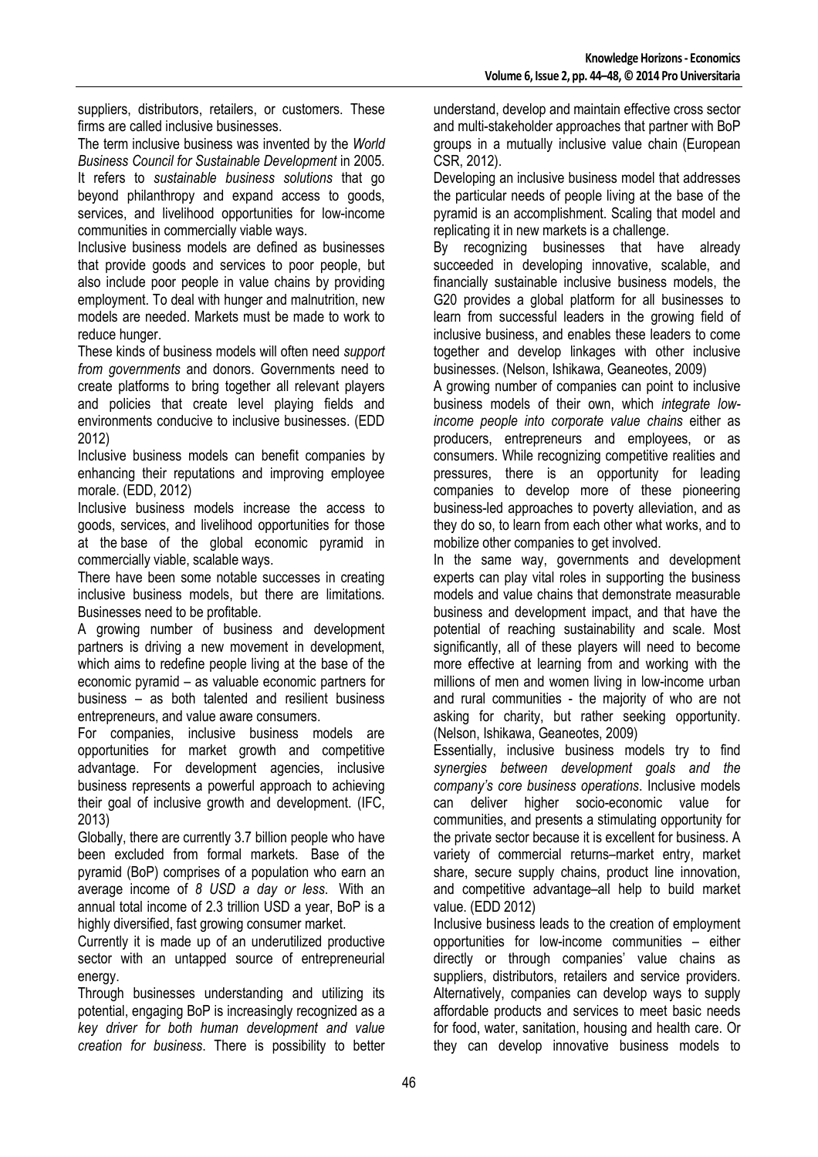suppliers, distributors, retailers, or customers. These firms are called inclusive businesses.

The term inclusive business was invented by the *World Business Council for Sustainable Development* in 2005. It refers to *sustainable business solutions* that go beyond philanthropy and expand access to goods, services, and livelihood opportunities for low-income communities in commercially viable ways.

Inclusive business models are defined as businesses that provide goods and services to poor people, but also include poor people in value chains by providing employment. To deal with hunger and malnutrition, new models are needed. Markets must be made to work to reduce hunger.

These kinds of business models will often need *support from governments* and donors. Governments need to create platforms to bring together all relevant players and policies that create level playing fields and environments conducive to inclusive businesses. (EDD 2012)

Inclusive business models can benefit companies by enhancing their reputations and improving employee morale. (EDD, 2012)

Inclusive business models increase the access to goods, services, and livelihood opportunities for those at the base of the global economic pyramid in commercially viable, scalable ways.

There have been some notable successes in creating inclusive business models, but there are limitations. Businesses need to be profitable.

A growing number of business and development partners is driving a new movement in development, which aims to redefine people living at the base of the economic pyramid – as valuable economic partners for business – as both talented and resilient business entrepreneurs, and value aware consumers.

For companies, inclusive business models are opportunities for market growth and competitive advantage. For development agencies, inclusive business represents a powerful approach to achieving their goal of inclusive growth and development. (IFC, 2013)

Globally, there are currently 3.7 billion people who have been excluded from formal markets. Base of the pyramid (BoP) comprises of a population who earn an average income of *8 USD a day or less*. With an annual total income of 2.3 trillion USD a year, BoP is a highly diversified, fast growing consumer market.

Currently it is made up of an underutilized productive sector with an untapped source of entrepreneurial energy.

Through businesses understanding and utilizing its potential, engaging BoP is increasingly recognized as a *key driver for both human development and value creation for business*. There is possibility to better understand, develop and maintain effective cross sector and multi-stakeholder approaches that partner with BoP groups in a mutually inclusive value chain (European CSR, 2012).

Developing an inclusive business model that addresses the particular needs of people living at the base of the pyramid is an accomplishment. Scaling that model and replicating it in new markets is a challenge.

By recognizing businesses that have already succeeded in developing innovative, scalable, and financially sustainable inclusive business models, the G20 provides a global platform for all businesses to learn from successful leaders in the growing field of inclusive business, and enables these leaders to come together and develop linkages with other inclusive businesses. (Nelson, Ishikawa, Geaneotes, 2009)

A growing number of companies can point to inclusive business models of their own, which *integrate lowincome people into corporate value chains* either as producers, entrepreneurs and employees, or as consumers. While recognizing competitive realities and pressures, there is an opportunity for leading companies to develop more of these pioneering business-led approaches to poverty alleviation, and as they do so, to learn from each other what works, and to mobilize other companies to get involved.

In the same way, governments and development experts can play vital roles in supporting the business models and value chains that demonstrate measurable business and development impact, and that have the potential of reaching sustainability and scale. Most significantly, all of these players will need to become more effective at learning from and working with the millions of men and women living in low-income urban and rural communities - the majority of who are not asking for charity, but rather seeking opportunity. (Nelson, Ishikawa, Geaneotes, 2009)

Essentially, inclusive business models try to find *synergies between development goals and the company's core business operations*. Inclusive models can deliver higher socio-economic value for communities, and presents a stimulating opportunity for the private sector because it is excellent for business. A variety of commercial returns–market entry, market share, secure supply chains, product line innovation, and competitive advantage–all help to build market value. (EDD 2012)

Inclusive business leads to the creation of employment opportunities for low-income communities – either directly or through companies' value chains as suppliers, distributors, retailers and service providers. Alternatively, companies can develop ways to supply affordable products and services to meet basic needs for food, water, sanitation, housing and health care. Or they can develop innovative business models to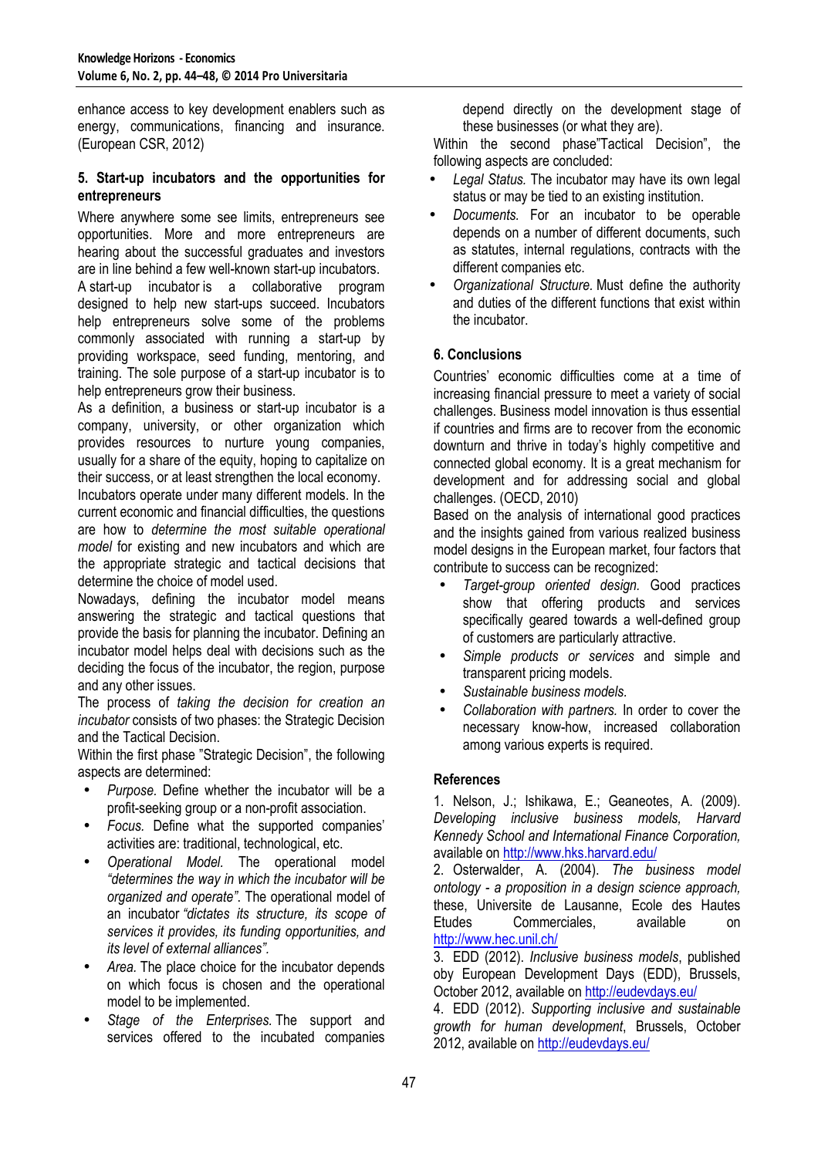enhance access to key development enablers such as energy, communications, financing and insurance. (European CSR, 2012)

# **5. Start-up incubators and the opportunities for entrepreneurs**

Where anywhere some see limits, entrepreneurs see opportunities. More and more entrepreneurs are hearing about the successful graduates and investors are in line behind a few well-known start-up incubators.

A start-up incubator is a collaborative program designed to help new start-ups succeed. Incubators help entrepreneurs solve some of the problems commonly associated with running a start-up by providing workspace, seed funding, mentoring, and training. The sole purpose of a start-up incubator is to help entrepreneurs grow their business.

As a definition, a business or start-up incubator is a company, university, or other organization which provides resources to nurture young companies, usually for a share of the equity, hoping to capitalize on their success, or at least strengthen the local economy. Incubators operate under many different models. In the

current economic and financial difficulties, the questions are how to *determine the most suitable operational model* for existing and new incubators and which are the appropriate strategic and tactical decisions that determine the choice of model used.

Nowadays, defining the incubator model means answering the strategic and tactical questions that provide the basis for planning the incubator. Defining an incubator model helps deal with decisions such as the deciding the focus of the incubator, the region, purpose and any other issues.

The process of *taking the decision for creation an incubator* consists of two phases: the Strategic Decision and the Tactical Decision.

Within the first phase "Strategic Decision", the following aspects are determined:

- *Purpose.* Define whether the incubator will be a profit-seeking group or a non-profit association.
- *Focus.* Define what the supported companies' activities are: traditional, technological, etc.
- *Operational Model.* The operational model *"determines the way in which the incubator will be organized and operate"*. The operational model of an incubator *"dictates its structure, its scope of services it provides, its funding opportunities, and its level of external alliances".*
- Area. The place choice for the incubator depends on which focus is chosen and the operational model to be implemented.
- *Stage of the Enterprises.* The support and services offered to the incubated companies

depend directly on the development stage of these businesses (or what they are).

Within the second phase"Tactical Decision", the following aspects are concluded:

- *Legal Status.* The incubator may have its own legal status or may be tied to an existing institution.
- *Documents.* For an incubator to be operable depends on a number of different documents, such as statutes, internal regulations, contracts with the different companies etc.
- *Organizational Structure.* Must define the authority and duties of the different functions that exist within the incubator.

# **6. Conclusions**

Countries' economic difficulties come at a time of increasing financial pressure to meet a variety of social challenges. Business model innovation is thus essential if countries and firms are to recover from the economic downturn and thrive in today's highly competitive and connected global economy. It is a great mechanism for development and for addressing social and global challenges. (OECD, 2010)

Based on the analysis of international good practices and the insights gained from various realized business model designs in the European market, four factors that contribute to success can be recognized:

- *Target-group oriented design.* Good practices show that offering products and services specifically geared towards a well-defined group of customers are particularly attractive.
- *Simple products or services* and simple and transparent pricing models.
- *Sustainable business models.*
- *Collaboration with partners.* In order to cover the necessary know-how, increased collaboration among various experts is required.

# **References**

1. Nelson, J.; Ishikawa, E.; Geaneotes, A. (2009). *Developing inclusive business models, Harvard Kennedy School and International Finance Corporation,* available on http://www.hks.harvard.edu/

2. Osterwalder, A. (2004). *The business model ontology - a proposition in a design science approach,*  these, Universite de Lausanne, Ecole des Hautes Etudes Commerciales, available on http://www.hec.unil.ch/

3. EDD (2012). *Inclusive business models*, published oby European Development Days (EDD), Brussels, October 2012, available on http://eudevdays.eu/

4. EDD (2012). *Supporting inclusive and sustainable growth for human development*, Brussels, October 2012, available on http://eudevdays.eu/